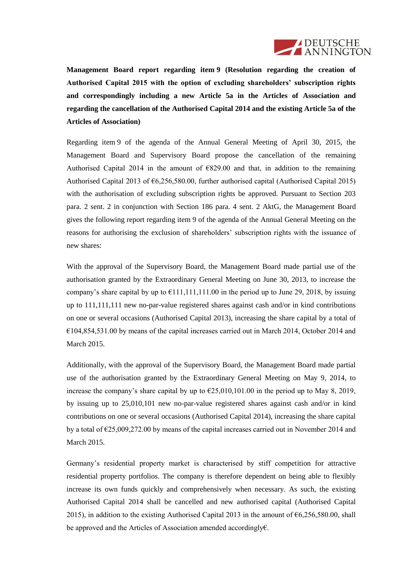

**Management Board report regarding item 9 (Resolution regarding the creation of Authorised Capital 2015 with the option of excluding shareholders' subscription rights and correspondingly including a new Article 5a in the Articles of Association and regarding the cancellation of the Authorised Capital 2014 and the existing Article 5a of the Articles of Association)**

Regarding item 9 of the agenda of the Annual General Meeting of April 30, 2015, the Management Board and Supervisory Board propose the cancellation of the remaining Authorised Capital 2014 in the amount of  $E829.00$  and that, in addition to the remaining Authorised Capital 2013 of €6,256,580.00, further authorised capital (Authorised Capital 2015) with the authorisation of excluding subscription rights be approved. Pursuant to Section 203 para. 2 sent. 2 in conjunction with Section 186 para. 4 sent. 2 AktG, the Management Board gives the following report regarding item 9 of the agenda of the Annual General Meeting on the reasons for authorising the exclusion of shareholders' subscription rights with the issuance of new shares:

With the approval of the Supervisory Board, the Management Board made partial use of the authorisation granted by the Extraordinary General Meeting on June 30, 2013, to increase the company's share capital by up to  $\epsilon$ 111,111,111.00 in the period up to June 29, 2018, by issuing up to 111,111,111 new no-par-value registered shares against cash and/or in kind contributions on one or several occasions (Authorised Capital 2013), increasing the share capital by a total of  $€104,854,531.00$  by means of the capital increases carried out in March 2014, October 2014 and March 2015.

Additionally, with the approval of the Supervisory Board, the Management Board made partial use of the authorisation granted by the Extraordinary General Meeting on May 9, 2014, to increase the company's share capital by up to  $\epsilon$ 25,010,101.00 in the period up to May 8, 2019, by issuing up to 25,010,101 new no-par-value registered shares against cash and/or in kind contributions on one or several occasions (Authorised Capital 2014), increasing the share capital by a total of  $\epsilon$ 25,009,272.00 by means of the capital increases carried out in November 2014 and March 2015.

Germany's residential property market is characterised by stiff competition for attractive residential property portfolios. The company is therefore dependent on being able to flexibly increase its own funds quickly and comprehensively when necessary. As such, the existing Authorised Capital 2014 shall be cancelled and new authorised capital (Authorised Capital 2015), in addition to the existing Authorised Capital 2013 in the amount of €6,256,580.00, shall be approved and the Articles of Association amended accordingly€.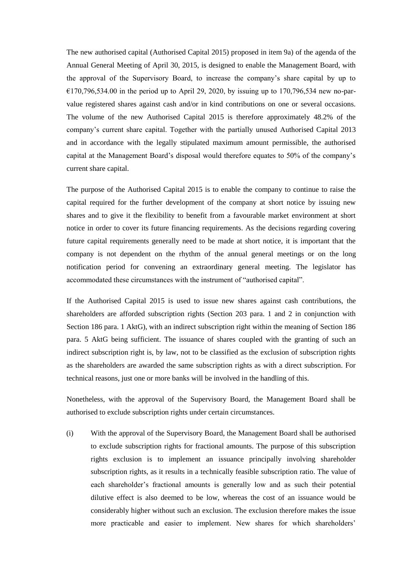The new authorised capital (Authorised Capital 2015) proposed in item 9a) of the agenda of the Annual General Meeting of April 30, 2015, is designed to enable the Management Board, with the approval of the Supervisory Board, to increase the company's share capital by up to  $E$ 170,796,534.00 in the period up to April 29, 2020, by issuing up to 170,796,534 new no-parvalue registered shares against cash and/or in kind contributions on one or several occasions. The volume of the new Authorised Capital 2015 is therefore approximately 48.2% of the company's current share capital. Together with the partially unused Authorised Capital 2013 and in accordance with the legally stipulated maximum amount permissible, the authorised capital at the Management Board's disposal would therefore equates to 50% of the company's current share capital.

The purpose of the Authorised Capital 2015 is to enable the company to continue to raise the capital required for the further development of the company at short notice by issuing new shares and to give it the flexibility to benefit from a favourable market environment at short notice in order to cover its future financing requirements. As the decisions regarding covering future capital requirements generally need to be made at short notice, it is important that the company is not dependent on the rhythm of the annual general meetings or on the long notification period for convening an extraordinary general meeting. The legislator has accommodated these circumstances with the instrument of "authorised capital".

If the Authorised Capital 2015 is used to issue new shares against cash contributions, the shareholders are afforded subscription rights (Section 203 para. 1 and 2 in conjunction with Section 186 para. 1 AktG), with an indirect subscription right within the meaning of Section 186 para. 5 AktG being sufficient. The issuance of shares coupled with the granting of such an indirect subscription right is, by law, not to be classified as the exclusion of subscription rights as the shareholders are awarded the same subscription rights as with a direct subscription. For technical reasons, just one or more banks will be involved in the handling of this.

Nonetheless, with the approval of the Supervisory Board, the Management Board shall be authorised to exclude subscription rights under certain circumstances.

(i) With the approval of the Supervisory Board, the Management Board shall be authorised to exclude subscription rights for fractional amounts. The purpose of this subscription rights exclusion is to implement an issuance principally involving shareholder subscription rights, as it results in a technically feasible subscription ratio. The value of each shareholder's fractional amounts is generally low and as such their potential dilutive effect is also deemed to be low, whereas the cost of an issuance would be considerably higher without such an exclusion. The exclusion therefore makes the issue more practicable and easier to implement. New shares for which shareholders'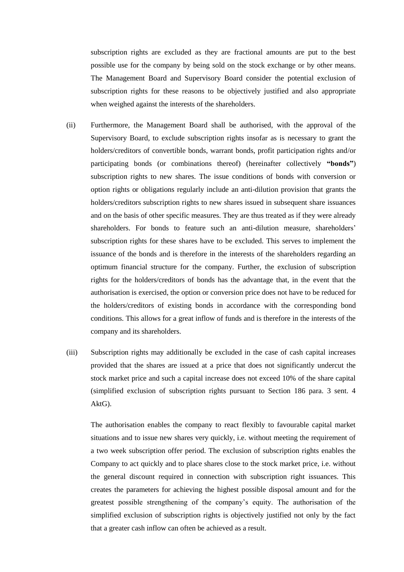subscription rights are excluded as they are fractional amounts are put to the best possible use for the company by being sold on the stock exchange or by other means. The Management Board and Supervisory Board consider the potential exclusion of subscription rights for these reasons to be objectively justified and also appropriate when weighed against the interests of the shareholders.

- (ii) Furthermore, the Management Board shall be authorised, with the approval of the Supervisory Board, to exclude subscription rights insofar as is necessary to grant the holders/creditors of convertible bonds, warrant bonds, profit participation rights and/or participating bonds (or combinations thereof) (hereinafter collectively **"bonds"**) subscription rights to new shares. The issue conditions of bonds with conversion or option rights or obligations regularly include an anti-dilution provision that grants the holders/creditors subscription rights to new shares issued in subsequent share issuances and on the basis of other specific measures. They are thus treated as if they were already shareholders. For bonds to feature such an anti-dilution measure, shareholders' subscription rights for these shares have to be excluded. This serves to implement the issuance of the bonds and is therefore in the interests of the shareholders regarding an optimum financial structure for the company. Further, the exclusion of subscription rights for the holders/creditors of bonds has the advantage that, in the event that the authorisation is exercised, the option or conversion price does not have to be reduced for the holders/creditors of existing bonds in accordance with the corresponding bond conditions. This allows for a great inflow of funds and is therefore in the interests of the company and its shareholders.
- (iii) Subscription rights may additionally be excluded in the case of cash capital increases provided that the shares are issued at a price that does not significantly undercut the stock market price and such a capital increase does not exceed 10% of the share capital (simplified exclusion of subscription rights pursuant to Section 186 para. 3 sent. 4 AktG).

The authorisation enables the company to react flexibly to favourable capital market situations and to issue new shares very quickly, i.e. without meeting the requirement of a two week subscription offer period. The exclusion of subscription rights enables the Company to act quickly and to place shares close to the stock market price, i.e. without the general discount required in connection with subscription right issuances. This creates the parameters for achieving the highest possible disposal amount and for the greatest possible strengthening of the company's equity. The authorisation of the simplified exclusion of subscription rights is objectively justified not only by the fact that a greater cash inflow can often be achieved as a result.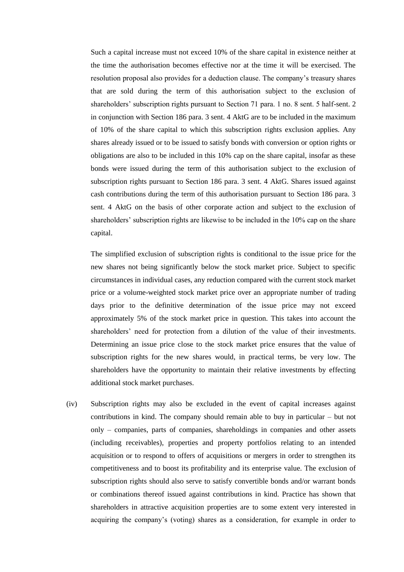Such a capital increase must not exceed 10% of the share capital in existence neither at the time the authorisation becomes effective nor at the time it will be exercised. The resolution proposal also provides for a deduction clause. The company's treasury shares that are sold during the term of this authorisation subject to the exclusion of shareholders' subscription rights pursuant to Section 71 para. 1 no. 8 sent. 5 half-sent. 2 in conjunction with Section 186 para. 3 sent. 4 AktG are to be included in the maximum of 10% of the share capital to which this subscription rights exclusion applies. Any shares already issued or to be issued to satisfy bonds with conversion or option rights or obligations are also to be included in this 10% cap on the share capital, insofar as these bonds were issued during the term of this authorisation subject to the exclusion of subscription rights pursuant to Section 186 para. 3 sent. 4 AktG. Shares issued against cash contributions during the term of this authorisation pursuant to Section 186 para. 3 sent. 4 AktG on the basis of other corporate action and subject to the exclusion of shareholders' subscription rights are likewise to be included in the 10% cap on the share capital.

The simplified exclusion of subscription rights is conditional to the issue price for the new shares not being significantly below the stock market price. Subject to specific circumstances in individual cases, any reduction compared with the current stock market price or a volume-weighted stock market price over an appropriate number of trading days prior to the definitive determination of the issue price may not exceed approximately 5% of the stock market price in question. This takes into account the shareholders' need for protection from a dilution of the value of their investments. Determining an issue price close to the stock market price ensures that the value of subscription rights for the new shares would, in practical terms, be very low. The shareholders have the opportunity to maintain their relative investments by effecting additional stock market purchases.

(iv) Subscription rights may also be excluded in the event of capital increases against contributions in kind. The company should remain able to buy in particular – but not only – companies, parts of companies, shareholdings in companies and other assets (including receivables), properties and property portfolios relating to an intended acquisition or to respond to offers of acquisitions or mergers in order to strengthen its competitiveness and to boost its profitability and its enterprise value. The exclusion of subscription rights should also serve to satisfy convertible bonds and/or warrant bonds or combinations thereof issued against contributions in kind. Practice has shown that shareholders in attractive acquisition properties are to some extent very interested in acquiring the company's (voting) shares as a consideration, for example in order to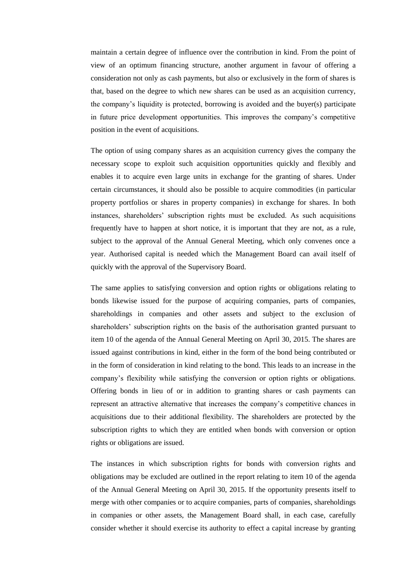maintain a certain degree of influence over the contribution in kind. From the point of view of an optimum financing structure, another argument in favour of offering a consideration not only as cash payments, but also or exclusively in the form of shares is that, based on the degree to which new shares can be used as an acquisition currency, the company's liquidity is protected, borrowing is avoided and the buyer(s) participate in future price development opportunities. This improves the company's competitive position in the event of acquisitions.

The option of using company shares as an acquisition currency gives the company the necessary scope to exploit such acquisition opportunities quickly and flexibly and enables it to acquire even large units in exchange for the granting of shares. Under certain circumstances, it should also be possible to acquire commodities (in particular property portfolios or shares in property companies) in exchange for shares. In both instances, shareholders' subscription rights must be excluded. As such acquisitions frequently have to happen at short notice, it is important that they are not, as a rule, subject to the approval of the Annual General Meeting, which only convenes once a year. Authorised capital is needed which the Management Board can avail itself of quickly with the approval of the Supervisory Board.

The same applies to satisfying conversion and option rights or obligations relating to bonds likewise issued for the purpose of acquiring companies, parts of companies, shareholdings in companies and other assets and subject to the exclusion of shareholders' subscription rights on the basis of the authorisation granted pursuant to item 10 of the agenda of the Annual General Meeting on April 30, 2015. The shares are issued against contributions in kind, either in the form of the bond being contributed or in the form of consideration in kind relating to the bond. This leads to an increase in the company's flexibility while satisfying the conversion or option rights or obligations. Offering bonds in lieu of or in addition to granting shares or cash payments can represent an attractive alternative that increases the company's competitive chances in acquisitions due to their additional flexibility. The shareholders are protected by the subscription rights to which they are entitled when bonds with conversion or option rights or obligations are issued.

The instances in which subscription rights for bonds with conversion rights and obligations may be excluded are outlined in the report relating to item 10 of the agenda of the Annual General Meeting on April 30, 2015. If the opportunity presents itself to merge with other companies or to acquire companies, parts of companies, shareholdings in companies or other assets, the Management Board shall, in each case, carefully consider whether it should exercise its authority to effect a capital increase by granting